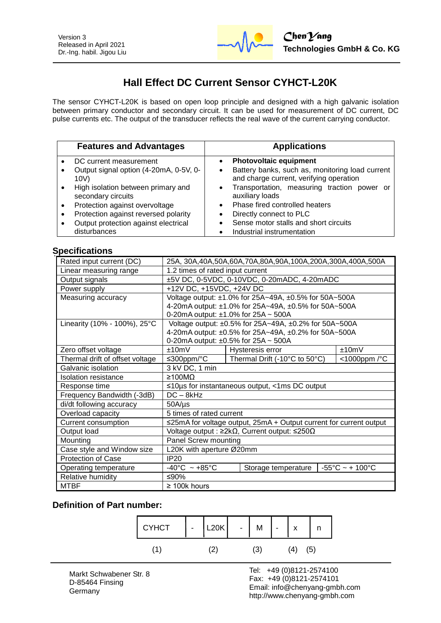

# **Hall Effect DC Current Sensor CYHCT-L20K**

The sensor CYHCT-L20K is based on open loop principle and designed with a high galvanic isolation between primary conductor and secondary circuit. It can be used for measurement of DC current, DC pulse currents etc. The output of the transducer reflects the real wave of the current carrying conductor.

| <b>Features and Advantages</b>                           |           | <b>Applications</b>                                                                        |
|----------------------------------------------------------|-----------|--------------------------------------------------------------------------------------------|
| DC current measurement                                   |           | <b>Photovoltaic equipment</b>                                                              |
| Output signal option (4-20mA, 0-5V, 0-<br>10V)           | ٠         | Battery banks, such as, monitoring load current<br>and charge current, verifying operation |
| High isolation between primary and<br>secondary circuits | $\bullet$ | Transportation, measuring traction power or<br>auxiliary loads                             |
| Protection against overvoltage                           |           | Phase fired controlled heaters                                                             |
| Protection against reversed polarity                     |           | Directly connect to PLC                                                                    |
| Output protection against electrical<br>disturbances     |           | Sense motor stalls and short circuits<br>Industrial instrumentation                        |

#### **Specifications**

| Rated input current (DC)        | 25A, 30A,40A,50A,60A,70A,80A,90A,100A,200A,300A,400A,500A           |                               |                                      |  |
|---------------------------------|---------------------------------------------------------------------|-------------------------------|--------------------------------------|--|
| Linear measuring range          | 1.2 times of rated input current                                    |                               |                                      |  |
| Output signals                  | ±5V DC, 0-5VDC, 0-10VDC, 0-20mADC, 4-20mADC                         |                               |                                      |  |
| Power supply                    | +12V DC, +15VDC, +24V DC                                            |                               |                                      |  |
| Measuring accuracy              | Voltage output: ±1.0% for 25A~49A, ±0.5% for 50A~500A               |                               |                                      |  |
|                                 | 4-20mA output: ±1.0% for 25A~49A, ±0.5% for 50A~500A                |                               |                                      |  |
|                                 | 0-20mA output: $\pm$ 1.0% for 25A ~ 500A                            |                               |                                      |  |
| Linearity (10% - 100%), 25°C    | Voltage output: ±0.5% for 25A~49A, ±0.2% for 50A~500A               |                               |                                      |  |
|                                 | 4-20mA output: ±0.5% for 25A~49A, ±0.2% for 50A~500A                |                               |                                      |  |
|                                 | 0-20mA output: $\pm 0.5\%$ for 25A ~ 500A                           |                               |                                      |  |
| Zero offset voltage             | ±10mV                                                               | Hysteresis error              | ±10mV                                |  |
| Thermal drift of offset voltage | ≤300ppm/°C                                                          | Thermal Drift (-10°C to 50°C) | <1000ppm /°C                         |  |
| Galvanic isolation              | 3 kV DC, 1 min                                                      |                               |                                      |  |
| <b>Isolation resistance</b>     | $\geq 100$ MO                                                       |                               |                                      |  |
| Response time                   | $\leq$ 10µs for instantaneous output, <1ms DC output                |                               |                                      |  |
| Frequency Bandwidth (-3dB)      | $DC - 8kHz$                                                         |                               |                                      |  |
| di/dt following accuracy        | $50A/\mu s$                                                         |                               |                                      |  |
| Overload capacity               | 5 times of rated current                                            |                               |                                      |  |
| Current consumption             | ≤25mA for voltage output, 25mA + Output current for current output  |                               |                                      |  |
| Output load                     | Voltage output : $\geq 2k\Omega$ , Current output: $\leq 250\Omega$ |                               |                                      |  |
| Mounting                        | Panel Screw mounting                                                |                               |                                      |  |
| Case style and Window size      | L20K with aperture Ø20mm                                            |                               |                                      |  |
| <b>Protection of Case</b>       | <b>IP20</b>                                                         |                               |                                      |  |
| Operating temperature           | $-40^{\circ}$ C ~ +85 $^{\circ}$ C                                  | Storage temperature           | $-55^{\circ}$ C ~ + 100 $^{\circ}$ C |  |
| Relative humidity               | ≤90%                                                                |                               |                                      |  |
| <b>MTBF</b>                     | $\geq$ 100k hours                                                   |                               |                                      |  |

### **Definition of Part number:**



l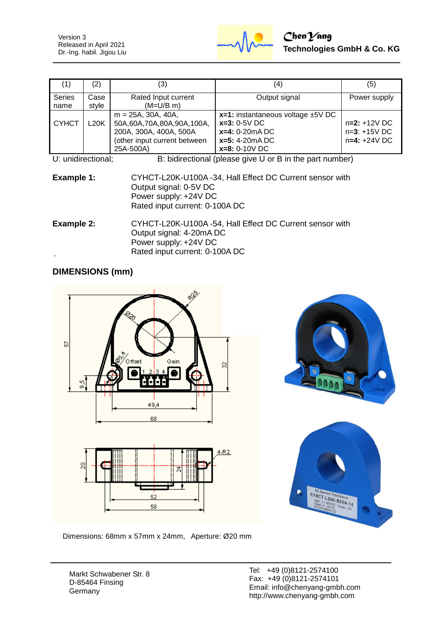Version 3 Released in April 2021 Dr.-Ing. habil. Jigou Liu



| (1)                   | (2)           | (3)                                                                                                                       | (4)                                                                                                                    | (5)                                                |
|-----------------------|---------------|---------------------------------------------------------------------------------------------------------------------------|------------------------------------------------------------------------------------------------------------------------|----------------------------------------------------|
| <b>Series</b><br>name | Case<br>style | Rated Input current<br>$(M=U/B \, m)$                                                                                     | Output signal                                                                                                          | Power supply                                       |
| <b>CYHCT</b>          | L20K          | $m = 25A$ , 30A, 40A,<br>50A,60A,70A,80A,90A,100A,<br>200A, 300A, 400A, 500A<br>(other input current between<br>25A-500A) | $x=1$ : instantaneous voltage $\pm$ 5V DC<br>$x=3: 0-5V$ DC<br>$x=4: 0-20mA DC$<br>$x=5: 4-20mA DC$<br>$x=8: 0-10V$ DC | $n=2: +12V$ DC<br>$n=3: +15V$ DC<br>$n=4: +24V$ DC |

U: unidirectional; B: bidirectional (please give U or B in the part number)

| Example 1: | CYHCT-L20K-U100A -34, Hall Effect DC Current sensor with |
|------------|----------------------------------------------------------|
|            | Output signal: 0-5V DC                                   |
|            | Power supply: +24V DC                                    |
|            | Rated input current: 0-100A DC                           |
|            |                                                          |

**Example 2:** CYHCT-L20K-U100A -54, Hall Effect DC Current sensor with Output signal: 4-20mA DC Power supply: +24V DC Rated input current: 0-100A DC

## **DIMENSIONS (mm)**



Dimensions: 68mm x 57mm x 24mm, Aperture: Ø20 mm